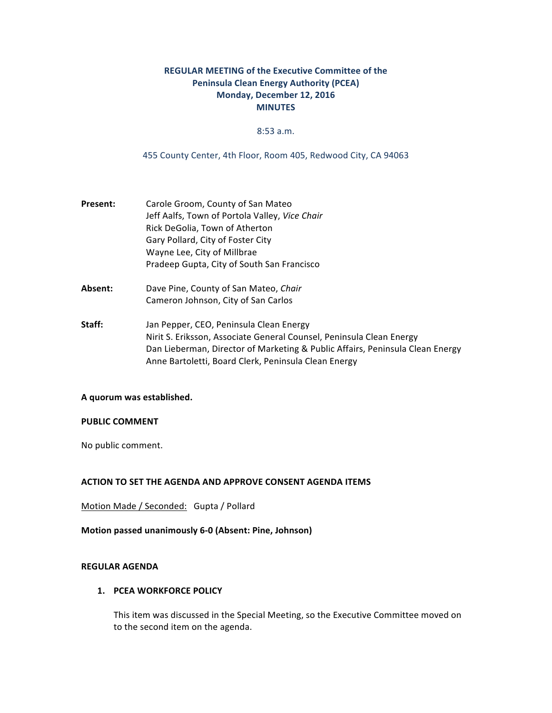# **REGULAR MEETING of the Executive Committee of the Peninsula Clean Energy Authority (PCEA)** Monday, December 12, 2016 **MINUTES**

### 8:53 a.m.

455 County Center, 4th Floor, Room 405, Redwood City, CA 94063

- **Present:** Carole Groom, County of San Mateo Jeff Aalfs, Town of Portola Valley, *Vice Chair* Rick DeGolia, Town of Atherton Gary Pollard, City of Foster City Wayne Lee, City of Millbrae Pradeep Gupta, City of South San Francisco
- Absent: Dave Pine, County of San Mateo, *Chair* Cameron Johnson, City of San Carlos
- **Staff:** Jan Pepper, CEO, Peninsula Clean Energy Nirit S. Eriksson, Associate General Counsel, Peninsula Clean Energy Dan Lieberman, Director of Marketing & Public Affairs, Peninsula Clean Energy Anne Bartoletti, Board Clerk, Peninsula Clean Energy

#### **A quorum was established.**

## **PUBLIC COMMENT**

No public comment.

#### **ACTION TO SET THE AGENDA AND APPROVE CONSENT AGENDA ITEMS**

Motion Made / Seconded: Gupta / Pollard

**Motion passed unanimously 6-0 (Absent: Pine, Johnson)** 

## **REGULAR AGENDA**

### **1. PCEA WORKFORCE POLICY**

This item was discussed in the Special Meeting, so the Executive Committee moved on to the second item on the agenda.